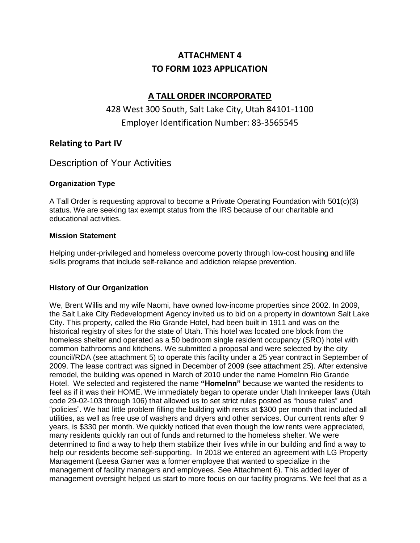# **ATTACHMENT 4 TO FORM 1023 APPLICATION**

## **A TALL ORDER INCORPORATED**

## 428 West 300 South, Salt Lake City, Utah 84101-1100 Employer Identification Number: 83-3565545

### **Relating to Part IV**

## Description of Your Activities

### **Organization Type**

A Tall Order is requesting approval to become a Private Operating Foundation with 501(c)(3) status. We are seeking tax exempt status from the IRS because of our charitable and educational activities.

#### **Mission Statement**

Helping under-privileged and homeless overcome poverty through low-cost housing and life skills programs that include self-reliance and addiction relapse prevention.

### **History of Our Organization**

We, Brent Willis and my wife Naomi, have owned low-income properties since 2002. In 2009, the Salt Lake City Redevelopment Agency invited us to bid on a property in downtown Salt Lake City. This property, called the Rio Grande Hotel, had been built in 1911 and was on the historical registry of sites for the state of Utah. This hotel was located one block from the homeless shelter and operated as a 50 bedroom single resident occupancy (SRO) hotel with common bathrooms and kitchens. We submitted a proposal and were selected by the city council/RDA (see attachment 5) to operate this facility under a 25 year contract in September of 2009. The lease contract was signed in December of 2009 (see attachment 25). After extensive remodel, the building was opened in March of 2010 under the name HomeInn Rio Grande Hotel. We selected and registered the name **"HomeInn"** because we wanted the residents to feel as if it was their HOME. We immediately began to operate under Utah Innkeeper laws (Utah code 29-02-103 through 106) that allowed us to set strict rules posted as "house rules" and "policies". We had little problem filling the building with rents at \$300 per month that included all utilities, as well as free use of washers and dryers and other services. Our current rents after 9 years, is \$330 per month. We quickly noticed that even though the low rents were appreciated, many residents quickly ran out of funds and returned to the homeless shelter. We were determined to find a way to help them stabilize their lives while in our building and find a way to help our residents become self-supporting. In 2018 we entered an agreement with LG Property Management (Leesa Garner was a former employee that wanted to specialize in the management of facility managers and employees. See Attachment 6). This added layer of management oversight helped us start to more focus on our facility programs. We feel that as a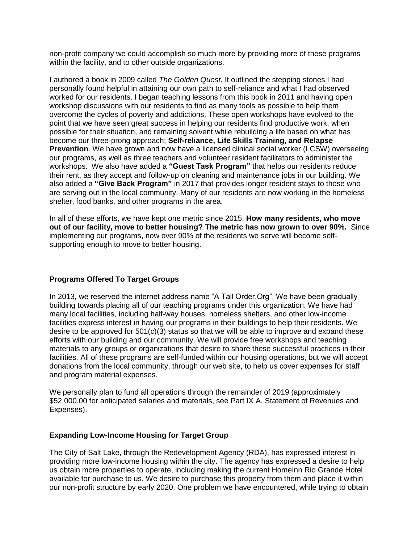non-profit company we could accomplish so much more by providing more of these programs within the facility, and to other outside organizations.

I authored a book in 2009 called *The Golden Quest*. It outlined the stepping stones I had personally found helpful in attaining our own path to self-reliance and what I had observed worked for our residents. I began teaching lessons from this book in 2011 and having open workshop discussions with our residents to find as many tools as possible to help them overcome the cycles of poverty and addictions. These open workshops have evolved to the point that we have seen great success in helping our residents find productive work, when possible for their situation, and remaining solvent while rebuilding a life based on what has become our three-prong approach; **Self-reliance, Life Skills Training, and Relapse Prevention**. We have grown and now have a licensed clinical social worker (LCSW) overseeing our programs, as well as three teachers and volunteer resident facilitators to administer the workshops. We also have added a **"Guest Task Program"** that helps our residents reduce their rent, as they accept and follow-up on cleaning and maintenance jobs in our building. We also added a **"Give Back Program"** in 2017 that provides longer resident stays to those who are serving out in the local community. Many of our residents are now working in the homeless shelter, food banks, and other programs in the area.

In all of these efforts, we have kept one metric since 2015. **How many residents, who move out of our facility, move to better housing? The metric has now grown to over 90%.** Since implementing our programs, now over 90% of the residents we serve will become selfsupporting enough to move to better housing.

#### **Programs Offered To Target Groups**

In 2013, we reserved the internet address name "A Tall Order.Org". We have been gradually building towards placing all of our teaching programs under this organization. We have had many local facilities, including half-way houses, homeless shelters, and other low-income facilities express interest in having our programs in their buildings to help their residents. We desire to be approved for  $501(c)(3)$  status so that we will be able to improve and expand these efforts with our building and our community. We will provide free workshops and teaching materials to any groups or organizations that desire to share these successful practices in their facilities. All of these programs are self-funded within our housing operations, but we will accept donations from the local community, through our web site, to help us cover expenses for staff and program material expenses.

We personally plan to fund all operations through the remainder of 2019 (approximately \$52,000.00 for anticipated salaries and materials, see Part IX A. Statement of Revenues and Expenses).

#### **Expanding Low-Income Housing for Target Group**

The City of Salt Lake, through the Redevelopment Agency (RDA), has expressed interest in providing more low-income housing within the city. The agency has expressed a desire to help us obtain more properties to operate, including making the current HomeInn Rio Grande Hotel available for purchase to us. We desire to purchase this property from them and place it within our non-profit structure by early 2020. One problem we have encountered, while trying to obtain